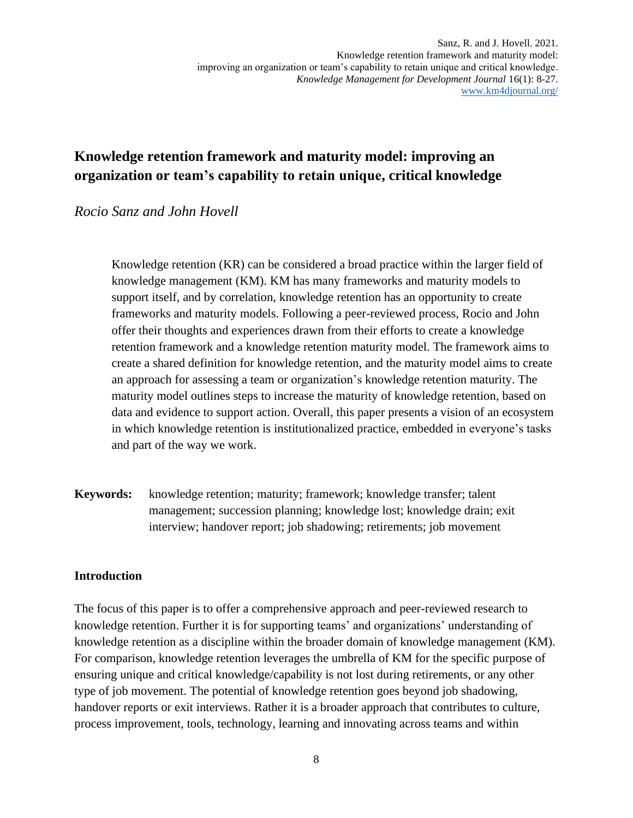## **Knowledge retention framework and maturity model: improving an organization or team's capability to retain unique, critical knowledge**

## *Rocio Sanz and John Hovell*

Knowledge retention (KR) can be considered a broad practice within the larger field of knowledge management (KM). KM has many frameworks and maturity models to support itself, and by correlation, knowledge retention has an opportunity to create frameworks and maturity models. Following a peer-reviewed process, Rocio and John offer their thoughts and experiences drawn from their efforts to create a knowledge retention framework and a knowledge retention maturity model. The framework aims to create a shared definition for knowledge retention, and the maturity model aims to create an approach for assessing a team or organization's knowledge retention maturity. The maturity model outlines steps to increase the maturity of knowledge retention, based on data and evidence to support action. Overall, this paper presents a vision of an ecosystem in which knowledge retention is institutionalized practice, embedded in everyone's tasks and part of the way we work.

**Keywords:** knowledge retention; maturity; framework; knowledge transfer; talent management; succession planning; knowledge lost; knowledge drain; exit interview; handover report; job shadowing; retirements; job movement

#### **Introduction**

The focus of this paper is to offer a comprehensive approach and peer-reviewed research to knowledge retention. Further it is for supporting teams' and organizations' understanding of knowledge retention as a discipline within the broader domain of knowledge management (KM). For comparison, knowledge retention leverages the umbrella of KM for the specific purpose of ensuring unique and critical knowledge/capability is not lost during retirements, or any other type of job movement. The potential of knowledge retention goes beyond job shadowing, handover reports or exit interviews. Rather it is a broader approach that contributes to culture, process improvement, tools, technology, learning and innovating across teams and within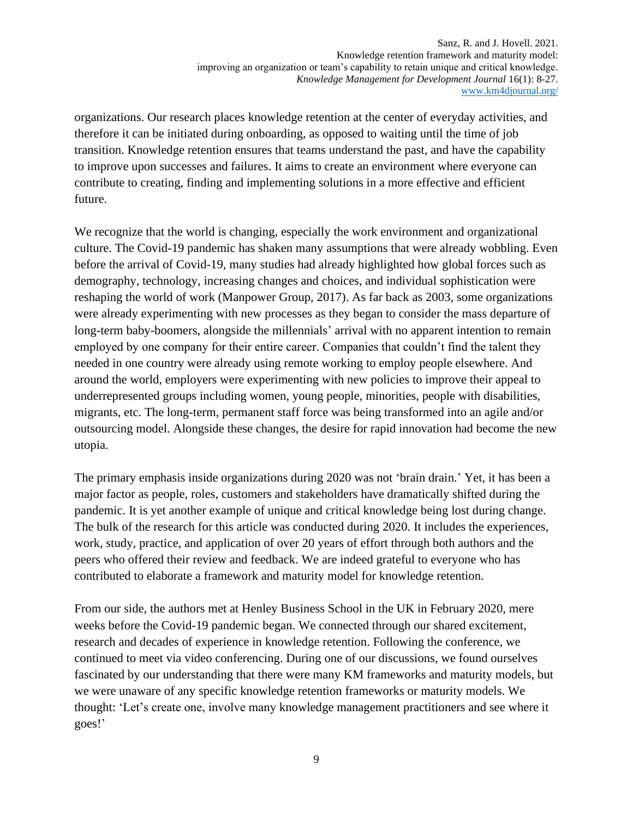organizations. Our research places knowledge retention at the center of everyday activities, and therefore it can be initiated during onboarding, as opposed to waiting until the time of job transition. Knowledge retention ensures that teams understand the past, and have the capability to improve upon successes and failures. It aims to create an environment where everyone can contribute to creating, finding and implementing solutions in a more effective and efficient future.

We recognize that the world is changing, especially the work environment and organizational culture. The Covid-19 pandemic has shaken many assumptions that were already wobbling. Even before the arrival of Covid-19, many studies had already highlighted how global forces such as demography, technology, increasing changes and choices, and individual sophistication were reshaping the world of work (Manpower Group, 2017). As far back as 2003, some organizations were already experimenting with new processes as they began to consider the mass departure of long-term baby-boomers, alongside the millennials' arrival with no apparent intention to remain employed by one company for their entire career. Companies that couldn't find the talent they needed in one country were already using remote working to employ people elsewhere. And around the world, employers were experimenting with new policies to improve their appeal to underrepresented groups including women, young people, minorities, people with disabilities, migrants, etc. The long-term, permanent staff force was being transformed into an agile and/or outsourcing model. Alongside these changes, the desire for rapid innovation had become the new utopia.

The primary emphasis inside organizations during 2020 was not 'brain drain.' Yet, it has been a major factor as people, roles, customers and stakeholders have dramatically shifted during the pandemic. It is yet another example of unique and critical knowledge being lost during change. The bulk of the research for this article was conducted during 2020. It includes the experiences, work, study, practice, and application of over 20 years of effort through both authors and the peers who offered their review and feedback. We are indeed grateful to everyone who has contributed to elaborate a framework and maturity model for knowledge retention.

From our side, the authors met at Henley Business School in the UK in February 2020, mere weeks before the Covid-19 pandemic began. We connected through our shared excitement, research and decades of experience in knowledge retention. Following the conference, we continued to meet via video conferencing. During one of our discussions, we found ourselves fascinated by our understanding that there were many KM frameworks and maturity models, but we were unaware of any specific knowledge retention frameworks or maturity models. We thought: 'Let's create one, involve many knowledge management practitioners and see where it goes!'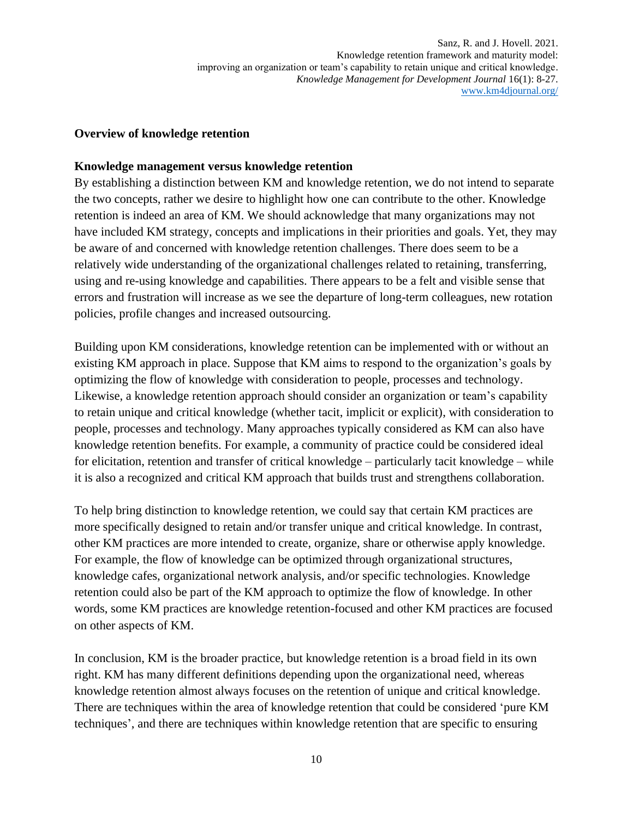#### **Overview of knowledge retention**

#### **Knowledge management versus knowledge retention**

By establishing a distinction between KM and knowledge retention, we do not intend to separate the two concepts, rather we desire to highlight how one can contribute to the other. Knowledge retention is indeed an area of KM. We should acknowledge that many organizations may not have included KM strategy, concepts and implications in their priorities and goals. Yet, they may be aware of and concerned with knowledge retention challenges. There does seem to be a relatively wide understanding of the organizational challenges related to retaining, transferring, using and re-using knowledge and capabilities. There appears to be a felt and visible sense that errors and frustration will increase as we see the departure of long-term colleagues, new rotation policies, profile changes and increased outsourcing.

Building upon KM considerations, knowledge retention can be implemented with or without an existing KM approach in place. Suppose that KM aims to respond to the organization's goals by optimizing the flow of knowledge with consideration to people, processes and technology. Likewise, a knowledge retention approach should consider an organization or team's capability to retain unique and critical knowledge (whether tacit, implicit or explicit), with consideration to people, processes and technology. Many approaches typically considered as KM can also have knowledge retention benefits. For example, a community of practice could be considered ideal for elicitation, retention and transfer of critical knowledge – particularly tacit knowledge – while it is also a recognized and critical KM approach that builds trust and strengthens collaboration.

To help bring distinction to knowledge retention, we could say that certain KM practices are more specifically designed to retain and/or transfer unique and critical knowledge. In contrast, other KM practices are more intended to create, organize, share or otherwise apply knowledge. For example, the flow of knowledge can be optimized through organizational structures, knowledge cafes, organizational network analysis, and/or specific technologies. Knowledge retention could also be part of the KM approach to optimize the flow of knowledge. In other words, some KM practices are knowledge retention-focused and other KM practices are focused on other aspects of KM.

In conclusion, KM is the broader practice, but knowledge retention is a broad field in its own right. KM has many different definitions depending upon the organizational need, whereas knowledge retention almost always focuses on the retention of unique and critical knowledge. There are techniques within the area of knowledge retention that could be considered 'pure KM techniques', and there are techniques within knowledge retention that are specific to ensuring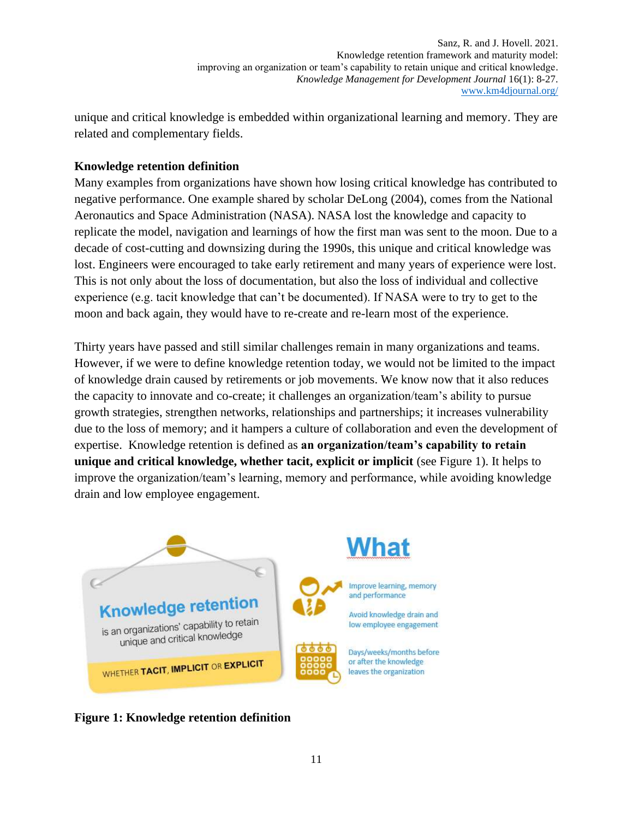unique and critical knowledge is embedded within organizational learning and memory. They are related and complementary fields.

### **Knowledge retention definition**

Many examples from organizations have shown how losing critical knowledge has contributed to negative performance. One example shared by scholar DeLong (2004), comes from the National Aeronautics and Space Administration (NASA). NASA lost the knowledge and capacity to replicate the model, navigation and learnings of how the first man was sent to the moon. Due to a decade of cost-cutting and downsizing during the 1990s, this unique and critical knowledge was lost. Engineers were encouraged to take early retirement and many years of experience were lost. This is not only about the loss of documentation, but also the loss of individual and collective experience (e.g. tacit knowledge that can't be documented). If NASA were to try to get to the moon and back again, they would have to re-create and re-learn most of the experience.

Thirty years have passed and still similar challenges remain in many organizations and teams. However, if we were to define knowledge retention today, we would not be limited to the impact of knowledge drain caused by retirements or job movements. We know now that it also reduces the capacity to innovate and co-create; it challenges an organization/team's ability to pursue growth strategies, strengthen networks, relationships and partnerships; it increases vulnerability due to the loss of memory; and it hampers a culture of collaboration and even the development of expertise. Knowledge retention is defined as **an organization/team's capability to retain unique and critical knowledge, whether tacit, explicit or implicit** (see Figure 1). It helps to improve the organization/team's learning, memory and performance, while avoiding knowledge drain and low employee engagement.



**Figure 1: Knowledge retention definition**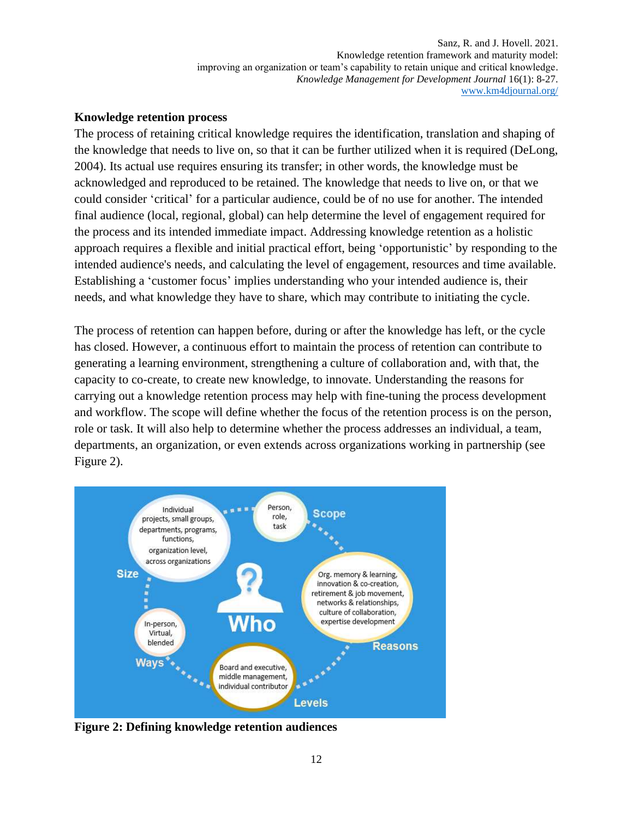#### **Knowledge retention process**

The process of retaining critical knowledge requires the identification, translation and shaping of the knowledge that needs to live on, so that it can be further utilized when it is required (DeLong, 2004). Its actual use requires ensuring its transfer; in other words, the knowledge must be acknowledged and reproduced to be retained. The knowledge that needs to live on, or that we could consider 'critical' for a particular audience, could be of no use for another. The intended final audience (local, regional, global) can help determine the level of engagement required for the process and its intended immediate impact. Addressing knowledge retention as a holistic approach requires a flexible and initial practical effort, being 'opportunistic' by responding to the intended audience's needs, and calculating the level of engagement, resources and time available. Establishing a 'customer focus' implies understanding who your intended audience is, their needs, and what knowledge they have to share, which may contribute to initiating the cycle.

The process of retention can happen before, during or after the knowledge has left, or the cycle has closed. However, a continuous effort to maintain the process of retention can contribute to generating a learning environment, strengthening a culture of collaboration and, with that, the capacity to co-create, to create new knowledge, to innovate. Understanding the reasons for carrying out a knowledge retention process may help with fine-tuning the process development and workflow. The scope will define whether the focus of the retention process is on the person, role or task. It will also help to determine whether the process addresses an individual, a team, departments, an organization, or even extends across organizations working in partnership (see Figure 2).



**Figure 2: Defining knowledge retention audiences**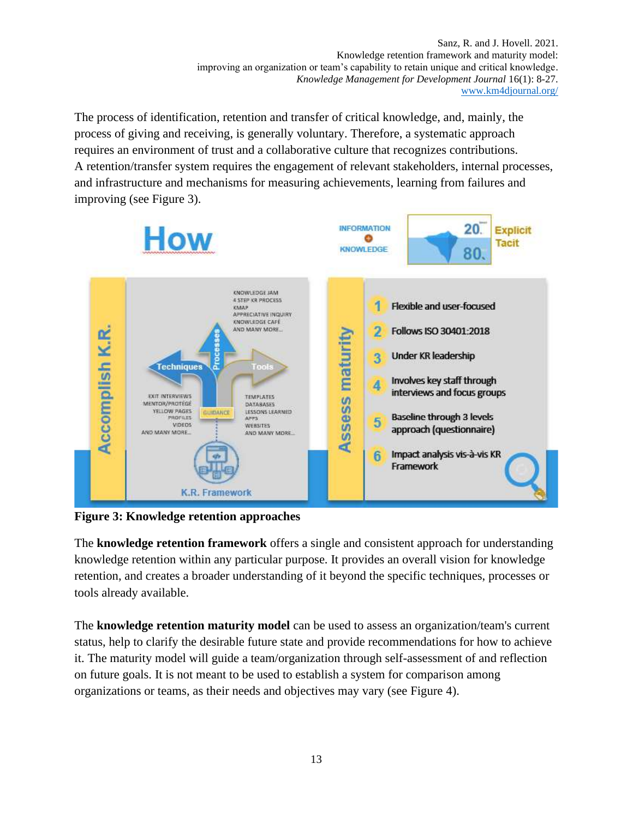The process of identification, retention and transfer of critical knowledge, and, mainly, the process of giving and receiving, is generally voluntary. Therefore, a systematic approach requires an environment of trust and a collaborative culture that recognizes contributions. A retention/transfer system requires the engagement of relevant stakeholders, internal processes, and infrastructure and mechanisms for measuring achievements, learning from failures and improving (see Figure 3).



**Figure 3: Knowledge retention approaches**

The **knowledge retention framework** offers a single and consistent approach for understanding knowledge retention within any particular purpose. It provides an overall vision for knowledge retention, and creates a broader understanding of it beyond the specific techniques, processes or tools already available.

The **knowledge retention maturity model** can be used to assess an organization/team's current status, help to clarify the desirable future state and provide recommendations for how to achieve it. The maturity model will guide a team/organization through self-assessment of and reflection on future goals. It is not meant to be used to establish a system for comparison among organizations or teams, as their needs and objectives may vary (see Figure 4).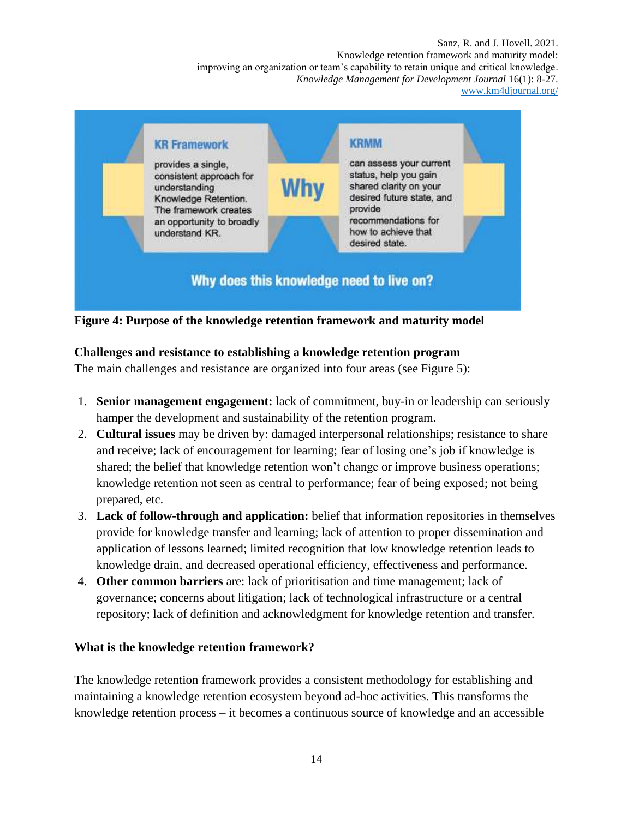

**Figure 4: Purpose of the knowledge retention framework and maturity model** 

## **Challenges and resistance to establishing a knowledge retention program**

The main challenges and resistance are organized into four areas (see Figure 5):

- 1. **Senior management engagement:** lack of commitment, buy-in or leadership can seriously hamper the development and sustainability of the retention program.
- 2. **Cultural issues** may be driven by: damaged interpersonal relationships; resistance to share and receive; lack of encouragement for learning; fear of losing one's job if knowledge is shared; the belief that knowledge retention won't change or improve business operations; knowledge retention not seen as central to performance; fear of being exposed; not being prepared, etc.
- 3. **Lack of follow-through and application:** belief that information repositories in themselves provide for knowledge transfer and learning; lack of attention to proper dissemination and application of lessons learned; limited recognition that low knowledge retention leads to knowledge drain, and decreased operational efficiency, effectiveness and performance.
- 4. **Other common barriers** are: lack of prioritisation and time management; lack of governance; concerns about litigation; lack of technological infrastructure or a central repository; lack of definition and acknowledgment for knowledge retention and transfer.

## **What is the knowledge retention framework?**

The knowledge retention framework provides a consistent methodology for establishing and maintaining a knowledge retention ecosystem beyond ad-hoc activities. This transforms the knowledge retention process – it becomes a continuous source of knowledge and an accessible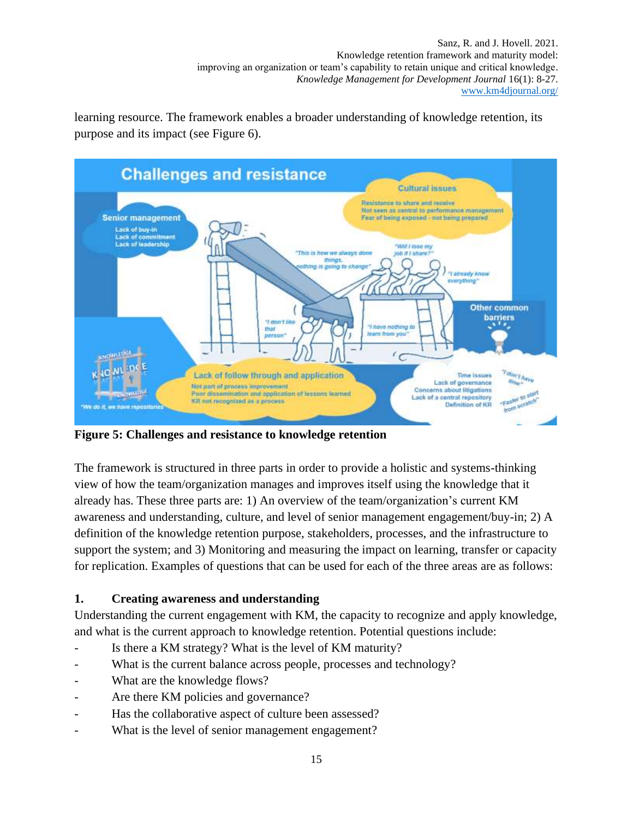learning resource. The framework enables a broader understanding of knowledge retention, its purpose and its impact (see Figure 6).



**Figure 5: Challenges and resistance to knowledge retention**

The framework is structured in three parts in order to provide a holistic and systems-thinking view of how the team/organization manages and improves itself using the knowledge that it already has. These three parts are: 1) An overview of the team/organization's current KM awareness and understanding, culture, and level of senior management engagement/buy-in; 2) A definition of the knowledge retention purpose, stakeholders, processes, and the infrastructure to support the system; and 3) Monitoring and measuring the impact on learning, transfer or capacity for replication. Examples of questions that can be used for each of the three areas are as follows:

## **1. Creating awareness and understanding**

Understanding the current engagement with KM, the capacity to recognize and apply knowledge, and what is the current approach to knowledge retention. Potential questions include:

- Is there a KM strategy? What is the level of KM maturity?
- What is the current balance across people, processes and technology?
- What are the knowledge flows?
- Are there KM policies and governance?
- Has the collaborative aspect of culture been assessed?
- What is the level of senior management engagement?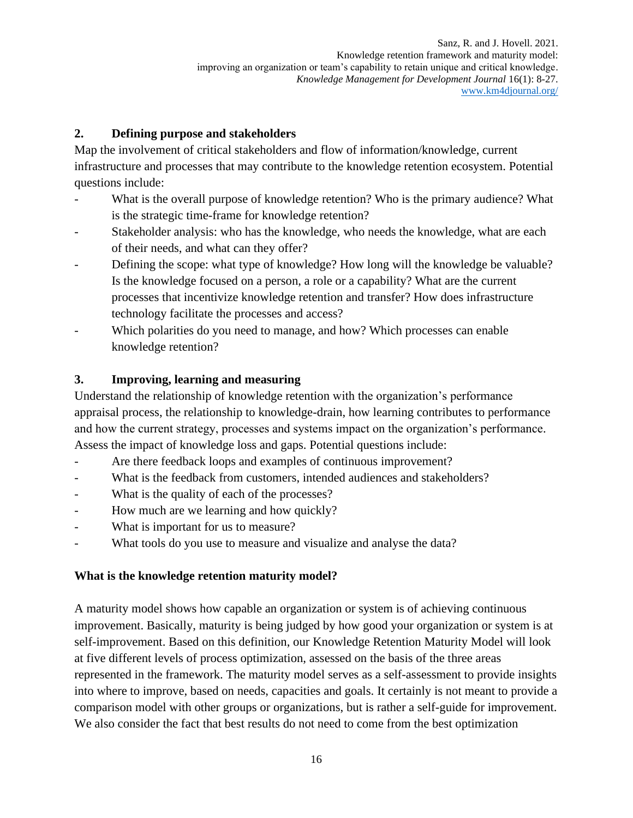## **2. Defining purpose and stakeholders**

Map the involvement of critical stakeholders and flow of information/knowledge, current infrastructure and processes that may contribute to the knowledge retention ecosystem. Potential questions include:

- What is the overall purpose of knowledge retention? Who is the primary audience? What is the strategic time-frame for knowledge retention?
- Stakeholder analysis: who has the knowledge, who needs the knowledge, what are each of their needs, and what can they offer?
- Defining the scope: what type of knowledge? How long will the knowledge be valuable? Is the knowledge focused on a person, a role or a capability? What are the current processes that incentivize knowledge retention and transfer? How does infrastructure technology facilitate the processes and access?
- Which polarities do you need to manage, and how? Which processes can enable knowledge retention?

## **3. Improving, learning and measuring**

Understand the relationship of knowledge retention with the organization's performance appraisal process, the relationship to knowledge-drain, how learning contributes to performance and how the current strategy, processes and systems impact on the organization's performance. Assess the impact of knowledge loss and gaps. Potential questions include:

- Are there feedback loops and examples of continuous improvement?
- What is the feedback from customers, intended audiences and stakeholders?
- What is the quality of each of the processes?
- How much are we learning and how quickly?
- What is important for us to measure?
- What tools do you use to measure and visualize and analyse the data?

## **What is the knowledge retention maturity model?**

A maturity model shows how capable an organization or system is of achieving continuous improvement. Basically, maturity is being judged by how good your organization or system is at self-improvement. Based on this definition, our Knowledge Retention Maturity Model will look at five different levels of process optimization, assessed on the basis of the three areas represented in the framework. The maturity model serves as a self-assessment to provide insights into where to improve, based on needs, capacities and goals. It certainly is not meant to provide a comparison model with other groups or organizations, but is rather a self-guide for improvement. We also consider the fact that best results do not need to come from the best optimization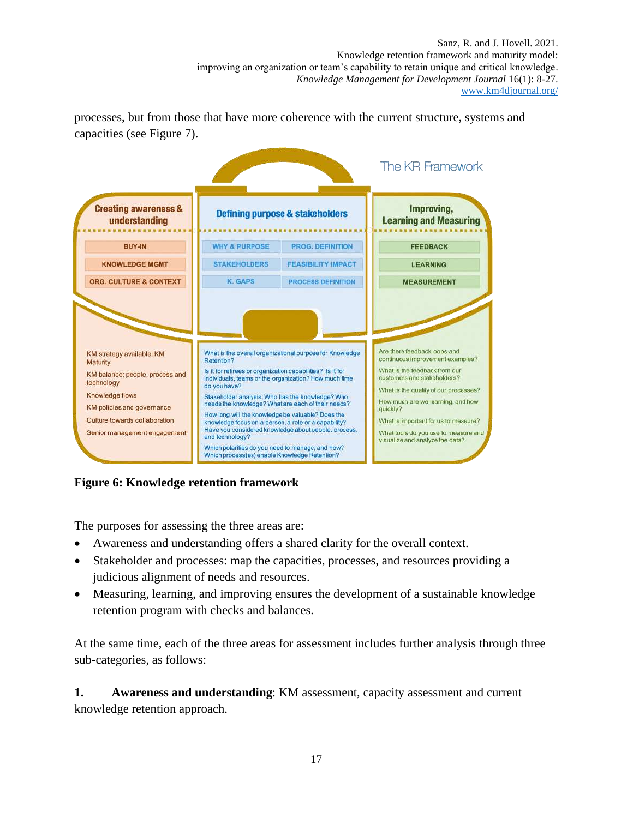processes, but from those that have more coherence with the current structure, systems and capacities (see Figure 7).



**Figure 6: Knowledge retention framework**

The purposes for assessing the three areas are:

- Awareness and understanding offers a shared clarity for the overall context.
- Stakeholder and processes: map the capacities, processes, and resources providing a judicious alignment of needs and resources.
- Measuring, learning, and improving ensures the development of a sustainable knowledge retention program with checks and balances.

At the same time, each of the three areas for assessment includes further analysis through three sub-categories, as follows:

**1. Awareness and understanding**: KM assessment, capacity assessment and current knowledge retention approach.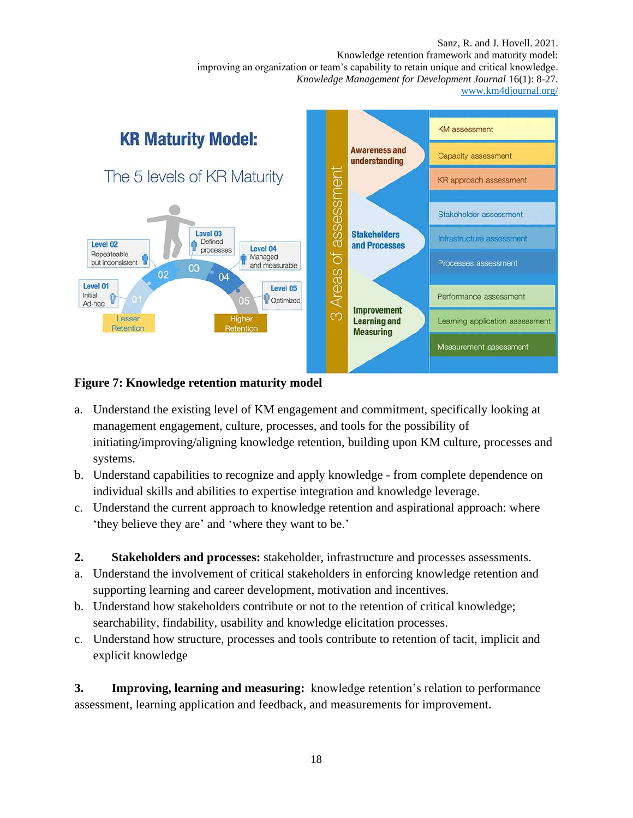

#### **Figure 7: Knowledge retention maturity model**

- a. Understand the existing level of KM engagement and commitment, specifically looking at management engagement, culture, processes, and tools for the possibility of initiating/improving/aligning knowledge retention, building upon KM culture, processes and systems.
- b. Understand capabilities to recognize and apply knowledge from complete dependence on individual skills and abilities to expertise integration and knowledge leverage.
- c. Understand the current approach to knowledge retention and aspirational approach: where 'they believe they are' and 'where they want to be.'
- **2. Stakeholders and processes:** stakeholder, infrastructure and processes assessments.
- a. Understand the involvement of critical stakeholders in enforcing knowledge retention and supporting learning and career development, motivation and incentives.
- b. Understand how stakeholders contribute or not to the retention of critical knowledge; searchability, findability, usability and knowledge elicitation processes.
- c. Understand how structure, processes and tools contribute to retention of tacit, implicit and explicit knowledge

**3. Improving, learning and measuring:** knowledge retention's relation to performance assessment, learning application and feedback, and measurements for improvement.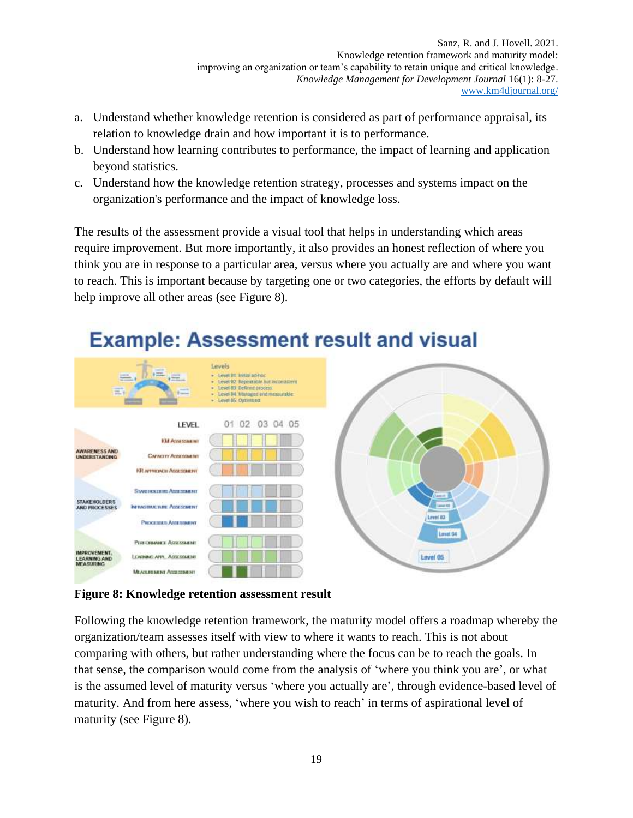- a. Understand whether knowledge retention is considered as part of performance appraisal, its relation to knowledge drain and how important it is to performance.
- b. Understand how learning contributes to performance, the impact of learning and application beyond statistics.
- c. Understand how the knowledge retention strategy, processes and systems impact on the organization's performance and the impact of knowledge loss.

The results of the assessment provide a visual tool that helps in understanding which areas require improvement. But more importantly, it also provides an honest reflection of where you think you are in response to a particular area, versus where you actually are and where you want to reach. This is important because by targeting one or two categories, the efforts by default will help improve all other areas (see Figure 8).



## **Example: Assessment result and visual**

**Figure 8: Knowledge retention assessment result**

Following the knowledge retention framework, the maturity model offers a roadmap whereby the organization/team assesses itself with view to where it wants to reach. This is not about comparing with others, but rather understanding where the focus can be to reach the goals. In that sense, the comparison would come from the analysis of 'where you think you are', or what is the assumed level of maturity versus 'where you actually are', through evidence-based level of maturity. And from here assess, 'where you wish to reach' in terms of aspirational level of maturity (see Figure 8).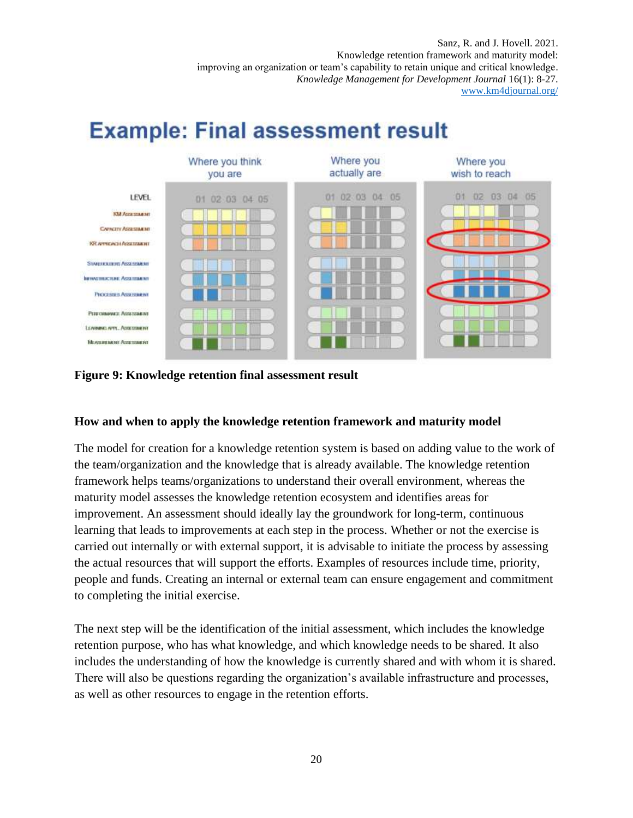# **Example: Final assessment result**



**Figure 9: Knowledge retention final assessment result**

#### **How and when to apply the knowledge retention framework and maturity model**

The model for creation for a knowledge retention system is based on adding value to the work of the team/organization and the knowledge that is already available. The knowledge retention framework helps teams/organizations to understand their overall environment, whereas the maturity model assesses the knowledge retention ecosystem and identifies areas for improvement. An assessment should ideally lay the groundwork for long-term, continuous learning that leads to improvements at each step in the process. Whether or not the exercise is carried out internally or with external support, it is advisable to initiate the process by assessing the actual resources that will support the efforts. Examples of resources include time, priority, people and funds. Creating an internal or external team can ensure engagement and commitment to completing the initial exercise.

The next step will be the identification of the initial assessment, which includes the knowledge retention purpose, who has what knowledge, and which knowledge needs to be shared. It also includes the understanding of how the knowledge is currently shared and with whom it is shared. There will also be questions regarding the organization's available infrastructure and processes, as well as other resources to engage in the retention efforts.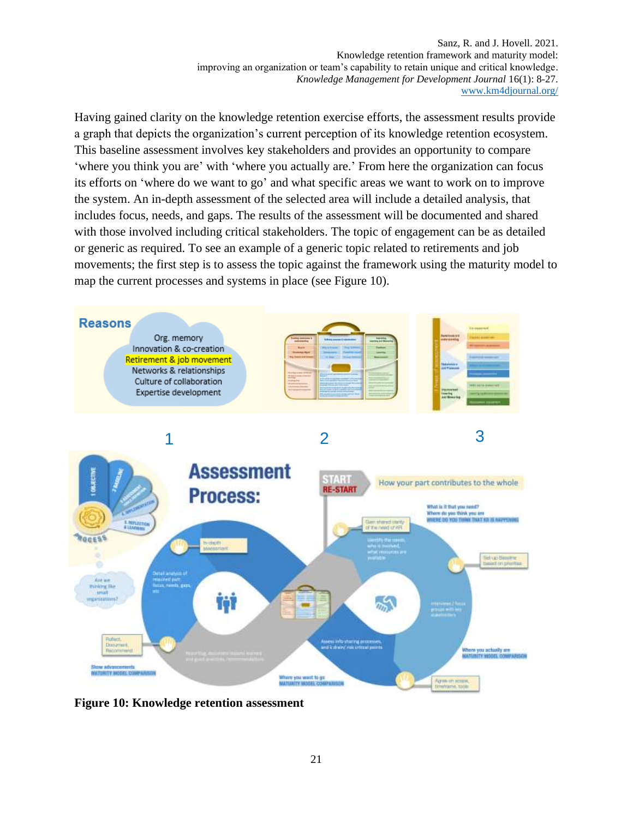Having gained clarity on the knowledge retention exercise efforts, the assessment results provide a graph that depicts the organization's current perception of its knowledge retention ecosystem. This baseline assessment involves key stakeholders and provides an opportunity to compare 'where you think you are' with 'where you actually are.' From here the organization can focus its efforts on 'where do we want to go' and what specific areas we want to work on to improve the system. An in-depth assessment of the selected area will include a detailed analysis, that includes focus, needs, and gaps. The results of the assessment will be documented and shared with those involved including critical stakeholders. The topic of engagement can be as detailed or generic as required. To see an example of a generic topic related to retirements and job movements; the first step is to assess the topic against the framework using the maturity model to map the current processes and systems in place (see Figure 10).



**Figure 10: Knowledge retention assessment**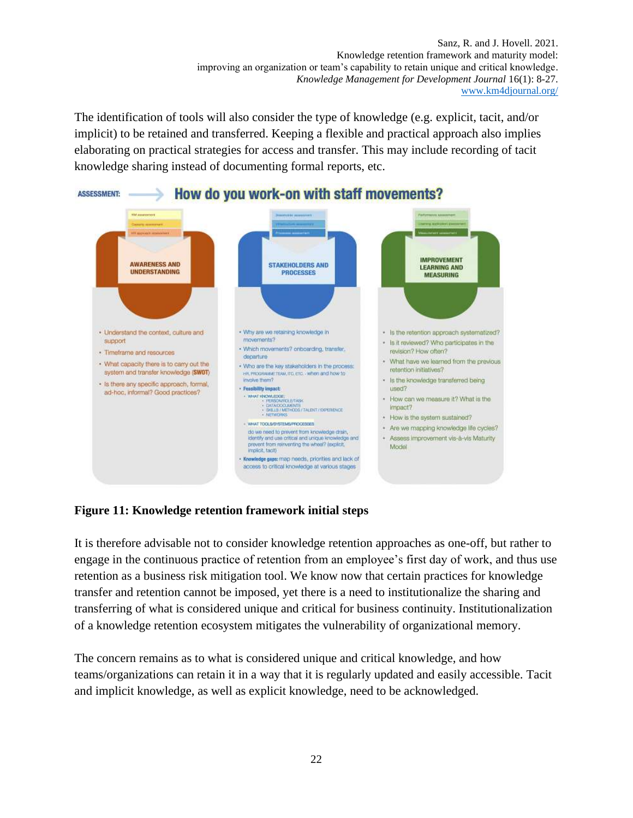The identification of tools will also consider the type of knowledge (e.g. explicit, tacit, and/or implicit) to be retained and transferred. Keeping a flexible and practical approach also implies elaborating on practical strategies for access and transfer. This may include recording of tacit knowledge sharing instead of documenting formal reports, etc.



#### **Figure 11: Knowledge retention framework initial steps**

It is therefore advisable not to consider knowledge retention approaches as one-off, but rather to engage in the continuous practice of retention from an employee's first day of work, and thus use retention as a business risk mitigation tool. We know now that certain practices for knowledge transfer and retention cannot be imposed, yet there is a need to institutionalize the sharing and transferring of what is considered unique and critical for business continuity. Institutionalization of a knowledge retention ecosystem mitigates the vulnerability of organizational memory.

The concern remains as to what is considered unique and critical knowledge, and how teams/organizations can retain it in a way that it is regularly updated and easily accessible. Tacit and implicit knowledge, as well as explicit knowledge, need to be acknowledged.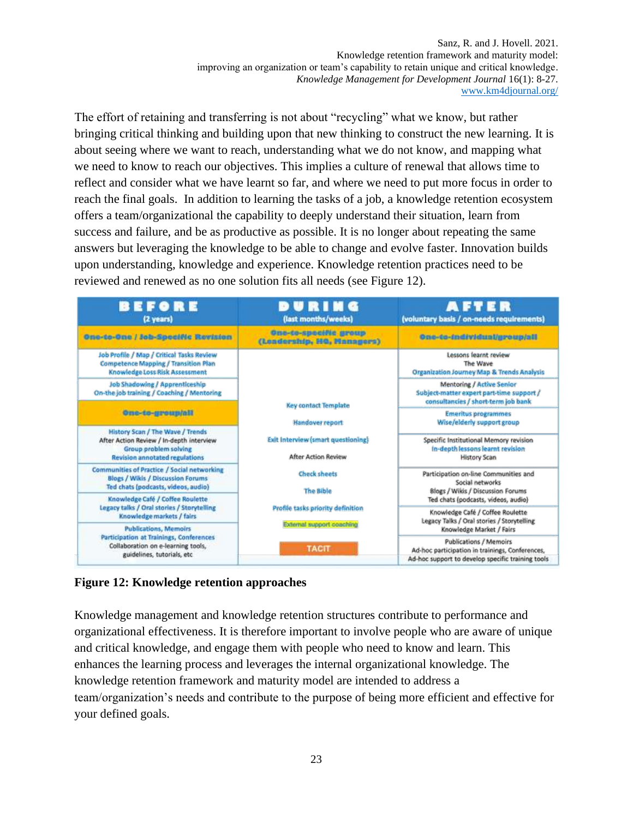The effort of retaining and transferring is not about "recycling" what we know, but rather bringing critical thinking and building upon that new thinking to construct the new learning. It is about seeing where we want to reach, understanding what we do not know, and mapping what we need to know to reach our objectives. This implies a culture of renewal that allows time to reflect and consider what we have learnt so far, and where we need to put more focus in order to reach the final goals. In addition to learning the tasks of a job, a knowledge retention ecosystem offers a team/organizational the capability to deeply understand their situation, learn from success and failure, and be as productive as possible. It is no longer about repeating the same answers but leveraging the knowledge to be able to change and evolve faster. Innovation builds upon understanding, knowledge and experience. Knowledge retention practices need to be reviewed and renewed as no one solution fits all needs (see Figure 12).

| BEFORE<br>(2 years)                                                                                                               | DURING<br>(last months/weeks)                                                                                                                                                                                                                          | <b>AFTER</b><br>(voluntary basis / on-needs requirements)                                                                                                                                                              |
|-----------------------------------------------------------------------------------------------------------------------------------|--------------------------------------------------------------------------------------------------------------------------------------------------------------------------------------------------------------------------------------------------------|------------------------------------------------------------------------------------------------------------------------------------------------------------------------------------------------------------------------|
| One-to-One / Job-Specific Revision                                                                                                | One-te-specific group<br>(Leadership, HQ, Managers)                                                                                                                                                                                                    | One-te-individual/group/all                                                                                                                                                                                            |
| Job Profile / Map / Critical Tasks Review<br><b>Competence Mapping / Transition Plan</b><br><b>Knowledge Loss Risk Assessment</b> |                                                                                                                                                                                                                                                        | Lessons learnt review<br>The Wave<br>Organization Journey Map & Trends Analysis                                                                                                                                        |
| Job Shadowing / Apprenticeship<br>On-the job training / Coaching / Mentoring                                                      | <b>Key contact Template</b><br>Handover report<br><b>Exit Interview (smart questioning)</b><br><b>After Action Review</b><br><b>Check sheets</b><br><b>The Bible</b><br>Profile tasks priority definition<br>External support coaching<br><b>TACIT</b> | <b>Mentoring / Active Senior</b><br>Subject-matter expert part-time support /<br>consultancies / short-term job bank                                                                                                   |
| One-te-groundell<br><b>History Scan / The Wave / Trends</b>                                                                       |                                                                                                                                                                                                                                                        | <b>Emeritus programmes</b><br>Wise/elderly support group                                                                                                                                                               |
| After Action Review / In-depth interview<br>Group problem solving<br><b>Revision annotated regulations</b>                        |                                                                                                                                                                                                                                                        | Specific Institutional Memory revision<br>In-depth lessons learnt revision<br><b>History Scan</b>                                                                                                                      |
| Communities of Practice / Social networking<br><b>Blogs / Wikis / Discussion Forums</b><br>Ted chats (podcasts, videos, audio)    |                                                                                                                                                                                                                                                        | Participation on-line Communities and<br>Social networks<br>Blogs / Wikis / Discussion Forums<br>Ted chats (podcasts, videos, audio)<br>Knowledge Café / Coffee Roulette<br>Legacy Talks / Oral stories / Storytelling |
| Knowledge Café / Coffee Roulette<br>Legacy talks / Oral stories / Storytelling<br>Knowledge markets / fairs                       |                                                                                                                                                                                                                                                        |                                                                                                                                                                                                                        |
| <b>Publications, Memoirs</b><br>Participation at Trainings, Conferences<br>Collaboration on e-learning tools,                     |                                                                                                                                                                                                                                                        | Knowledge Market / Fairs<br><b>Publications / Memoirs</b><br>Ad-hoc participation in trainings, Conferences,                                                                                                           |
| guidelines, tutorials, etc.                                                                                                       |                                                                                                                                                                                                                                                        | Ad-hoc support to develop specific training tools                                                                                                                                                                      |

## **Figure 12: Knowledge retention approaches**

Knowledge management and knowledge retention structures contribute to performance and organizational effectiveness. It is therefore important to involve people who are aware of unique and critical knowledge, and engage them with people who need to know and learn. This enhances the learning process and leverages the internal organizational knowledge. The knowledge retention framework and maturity model are intended to address a team/organization's needs and contribute to the purpose of being more efficient and effective for your defined goals.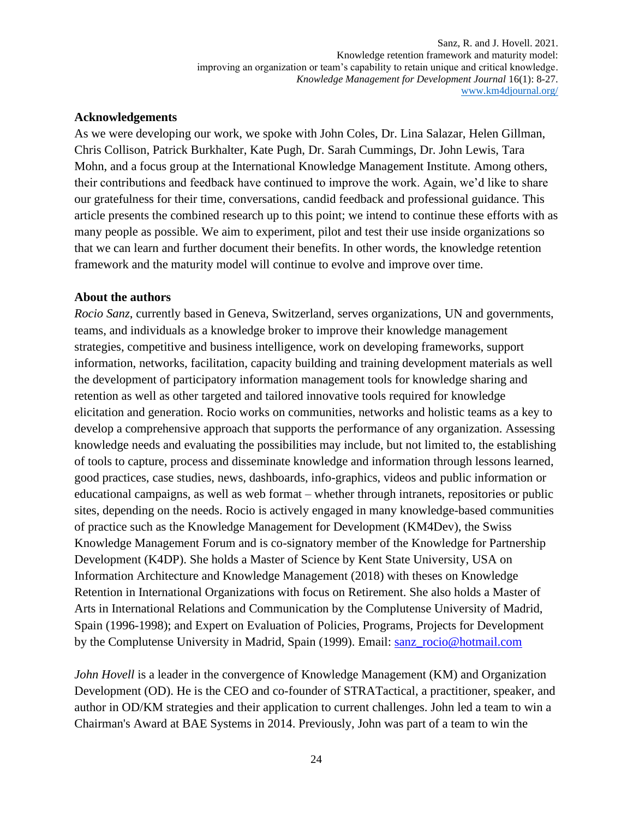#### **Acknowledgements**

As we were developing our work, we spoke with John Coles, Dr. Lina Salazar, Helen Gillman, Chris Collison, Patrick Burkhalter, Kate Pugh, Dr. Sarah Cummings, Dr. John Lewis, Tara Mohn, and a focus group at the International Knowledge Management Institute. Among others, their contributions and feedback have continued to improve the work. Again, we'd like to share our gratefulness for their time, conversations, candid feedback and professional guidance. This article presents the combined research up to this point; we intend to continue these efforts with as many people as possible. We aim to experiment, pilot and test their use inside organizations so that we can learn and further document their benefits. In other words, the knowledge retention framework and the maturity model will continue to evolve and improve over time.

#### **About the authors**

*Rocio Sanz*, currently based in Geneva, Switzerland, serves organizations, UN and governments, teams, and individuals as a knowledge broker to improve their knowledge management strategies, competitive and business intelligence, work on developing frameworks, support information, networks, facilitation, capacity building and training development materials as well the development of participatory information management tools for knowledge sharing and retention as well as other targeted and tailored innovative tools required for knowledge elicitation and generation. Rocio works on communities, networks and holistic teams as a key to develop a comprehensive approach that supports the performance of any organization. Assessing knowledge needs and evaluating the possibilities may include, but not limited to, the establishing of tools to capture, process and disseminate knowledge and information through lessons learned, good practices, case studies, news, dashboards, info-graphics, videos and public information or educational campaigns, as well as web format – whether through intranets, repositories or public sites, depending on the needs. Rocio is actively engaged in many knowledge-based communities of practice such as the Knowledge Management for Development (KM4Dev), the Swiss Knowledge Management Forum and is co-signatory member of the Knowledge for Partnership Development (K4DP). She holds a Master of Science by Kent State University, USA on Information Architecture and Knowledge Management (2018) with theses on Knowledge Retention in International Organizations with focus on Retirement. She also holds a Master of Arts in International Relations and Communication by the Complutense University of Madrid, Spain (1996-1998); and Expert on Evaluation of Policies, Programs, Projects for Development by the Complutense University in Madrid, Spain (1999). Email: [sanz\\_rocio@hotmail.com](mailto:sanz_rocio@hotmail.com)

*John Hovell* is a leader in the convergence of Knowledge Management (KM) and Organization Development (OD). He is the CEO and co-founder of STRATactical, a practitioner, speaker, and author in OD/KM strategies and their application to current challenges. John led a team to win a Chairman's Award at BAE Systems in 2014. Previously, John was part of a team to win the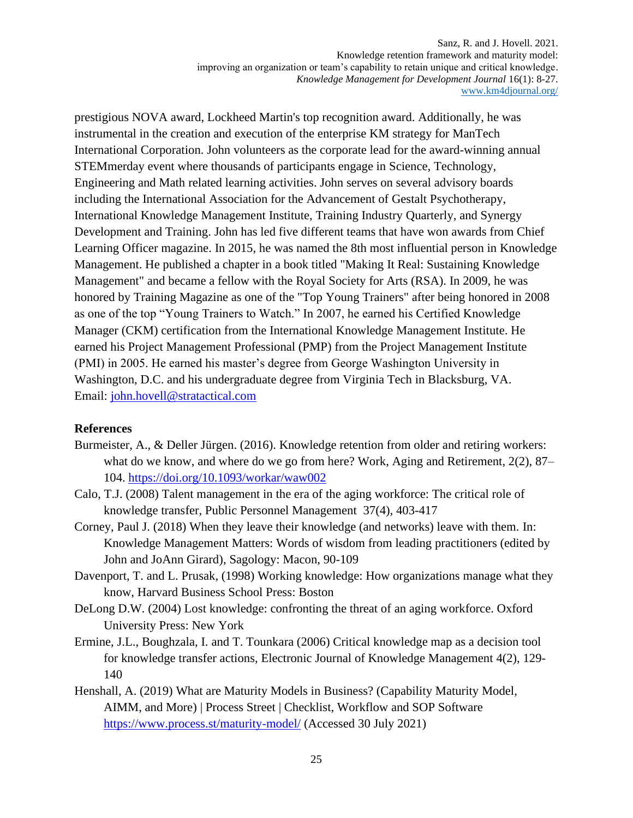prestigious NOVA award, Lockheed Martin's top recognition award. Additionally, he was instrumental in the creation and execution of the enterprise KM strategy for ManTech International Corporation. John volunteers as the corporate lead for the award-winning annual STEMmerday event where thousands of participants engage in Science, Technology, Engineering and Math related learning activities. John serves on several advisory boards including the International Association for the Advancement of Gestalt Psychotherapy, International Knowledge Management Institute, Training Industry Quarterly, and Synergy Development and Training. John has led five different teams that have won awards from Chief Learning Officer magazine. In 2015, he was named the 8th most influential person in Knowledge Management. He published a chapter in a book titled "Making It Real: Sustaining Knowledge Management" and became a fellow with the Royal Society for Arts (RSA). In 2009, he was honored by Training Magazine as one of the "Top Young Trainers" after being honored in 2008 as one of the top "Young Trainers to Watch." In 2007, he earned his Certified Knowledge Manager (CKM) certification from the International Knowledge Management Institute. He earned his Project Management Professional (PMP) from the Project Management Institute (PMI) in 2005. He earned his master's degree from George Washington University in Washington, D.C. and his undergraduate degree from Virginia Tech in Blacksburg, VA. Email: [john.hovell@stratactical.com](mailto:john.hovell@stratactical.com)

#### **References**

- Burmeister, A., & Deller Jürgen. (2016). Knowledge retention from older and retiring workers: what do we know, and where do we go from here? Work, Aging and Retirement, 2(2), 87– 104.<https://doi.org/10.1093/workar/waw002>
- Calo, T.J. (2008) Talent management in the era of the aging workforce: The critical role of knowledge transfer, Public Personnel Management 37(4), 403-417
- Corney, Paul J. (2018) When they leave their knowledge (and networks) leave with them. In: Knowledge Management Matters: Words of wisdom from leading practitioners (edited by John and JoAnn Girard), Sagology: Macon, 90-109
- Davenport, T. and L. Prusak, (1998) Working knowledge: How organizations manage what they know, Harvard Business School Press: Boston
- DeLong D.W. (2004) Lost knowledge: confronting the threat of an aging workforce. Oxford University Press: New York
- Ermine, J.L., Boughzala, I. and T. Tounkara (2006) Critical knowledge map as a decision tool for knowledge transfer actions, Electronic Journal of Knowledge Management 4(2), 129- 140
- Henshall, A. (2019) What are Maturity Models in Business? (Capability Maturity Model, AIMM, and More) | Process Street | Checklist, Workflow and SOP Software <https://www.process.st/maturity-model/> (Accessed 30 July 2021)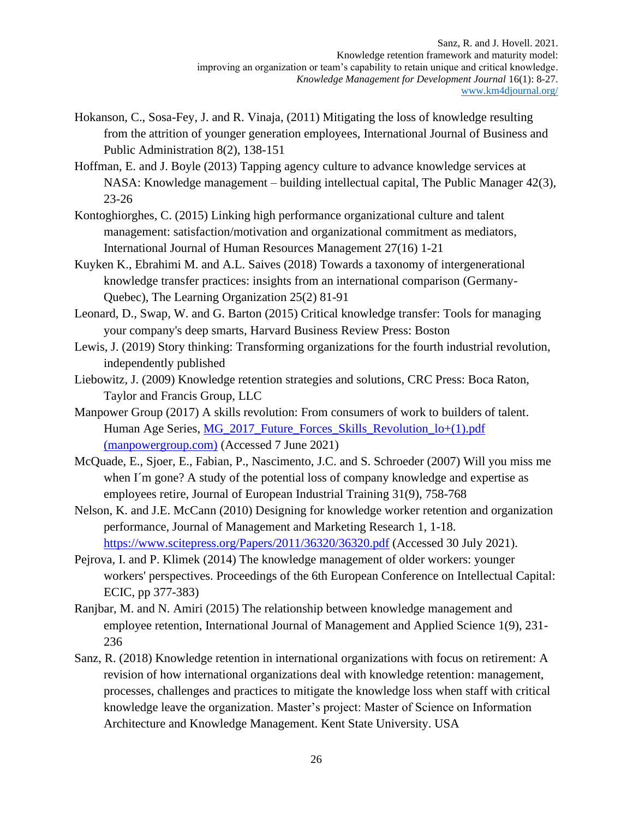- Hokanson, C., Sosa-Fey, J. and R. Vinaja, (2011) Mitigating the loss of knowledge resulting from the attrition of younger generation employees, International Journal of Business and Public Administration 8(2), 138-151
- Hoffman, E. and J. Boyle (2013) Tapping agency culture to advance knowledge services at NASA: Knowledge management – building intellectual capital, The Public Manager 42(3), 23-26
- Kontoghiorghes, C. (2015) Linking high performance organizational culture and talent management: satisfaction/motivation and organizational commitment as mediators, International Journal of Human Resources Management 27(16) 1-21
- Kuyken K., Ebrahimi M. and A.L. Saives (2018) Towards a taxonomy of intergenerational knowledge transfer practices: insights from an international comparison (Germany-Quebec), The Learning Organization 25(2) 81-91
- Leonard, D., Swap, W. and G. Barton (2015) Critical knowledge transfer: Tools for managing your company's deep smarts, Harvard Business Review Press: Boston
- Lewis, J. (2019) Story thinking: Transforming organizations for the fourth industrial revolution, independently published
- Liebowitz, J. (2009) Knowledge retention strategies and solutions, CRC Press: Boca Raton, Taylor and Francis Group, LLC
- Manpower Group (2017) [A skills revolution: From consumers of work to builders of talent.](https://www.manpowergroup.com/wcm/connect/d05472a8-cf68-42fb-90b0-bed9d82bb08b/MG_2017_Future_Forces_Skills_Revolution_lo+%281%29.pdf?MOD=AJPERES&CONVERT_TO=url&CACHEID=ROOTWORKSPACE-d05472a8-cf68-42fb-90b0-bed9d82bb08b-mJhLrg8) Human Age Series, [MG\\_2017\\_Future\\_Forces\\_Skills\\_Revolution\\_lo+\(1\).pdf](https://www.manpowergroup.com/wcm/connect/d05472a8-cf68-42fb-90b0-bed9d82bb08b/MG_2017_Future_Forces_Skills_Revolution_lo+%281%29.pdf?MOD=AJPERES&CONVERT_TO=url&CACHEID=ROOTWORKSPACE-d05472a8-cf68-42fb-90b0-bed9d82bb08b-mJhLrg8)  [\(manpowergroup.com\)](https://www.manpowergroup.com/wcm/connect/d05472a8-cf68-42fb-90b0-bed9d82bb08b/MG_2017_Future_Forces_Skills_Revolution_lo+%281%29.pdf?MOD=AJPERES&CONVERT_TO=url&CACHEID=ROOTWORKSPACE-d05472a8-cf68-42fb-90b0-bed9d82bb08b-mJhLrg8) (Accessed 7 June 2021)
- McQuade, E., Sjoer, E., Fabian, P., Nascimento, J.C. and S. Schroeder (2007) Will you miss me when I´m gone? A study of the potential loss of company knowledge and expertise as employees retire, Journal of European Industrial Training 31(9), 758-768
- Nelson, K. and J.E. McCann (2010) Designing for knowledge worker retention and organization performance, Journal of Management and Marketing Research 1, 1-18. <https://www.scitepress.org/Papers/2011/36320/36320.pdf> (Accessed 30 July 2021).
- Pejrova, I. and P. Klimek (2014) The knowledge management of older workers: younger workers' perspectives. Proceedings of the 6th European Conference on Intellectual Capital: ECIC, pp 377-383)
- Ranjbar, M. and N. Amiri (2015) The relationship between knowledge management and employee retention, International Journal of Management and Applied Science 1(9), 231- 236
- Sanz, R. (2018) Knowledge retention in international organizations with focus on retirement: A revision of how international organizations deal with knowledge retention: management, processes, challenges and practices to mitigate the knowledge loss when staff with critical knowledge leave the organization. Master's project: Master of Science on Information Architecture and Knowledge Management. Kent State University. USA